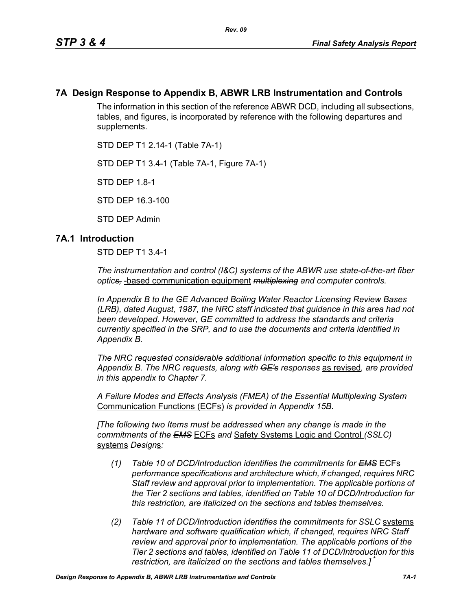## **7A Design Response to Appendix B, ABWR LRB Instrumentation and Controls**

*Rev. 09*

The information in this section of the reference ABWR DCD, including all subsections, tables, and figures, is incorporated by reference with the following departures and supplements.

STD DEP T1 2.14-1 (Table 7A-1)

STD DEP T1 3.4-1 (Table 7A-1, Figure 7A-1)

STD DEP 1.8-1

STD DEP 16.3-100

STD DEP Admin

### **7A.1 Introduction**

STD DEP T1 3.4-1

*The instrumentation and control (I&C) systems of the ABWR use state-of-the-art fiber optics,* -based communication equipment *multiplexing and computer controls.* 

*In Appendix B to the GE Advanced Boiling Water Reactor Licensing Review Bases (LRB), dated August, 1987, the NRC staff indicated that guidance in this area had not been developed. However, GE committed to address the standards and criteria currently specified in the SRP, and to use the documents and criteria identified in Appendix B.*

*The NRC requested considerable additional information specific to this equipment in Appendix B. The NRC requests, along with GE's responses* as revised*, are provided in this appendix to Chapter 7.*

*A Failure Modes and Effects Analysis (FMEA) of the Essential Multiplexing System* Communication Functions (ECFs) *is provided in Appendix 15B.*

*[The following two Items must be addressed when any change is made in the commitments of the EMS* ECFs *and* Safety Systems Logic and Control *(SSLC)* systems *Design*s*:*

- *(1) Table 10 of DCD/Introduction identifies the commitments for EMS* ECFs *performance specifications and architecture which, if changed, requires NRC Staff review and approval prior to implementation. The applicable portions of the Tier 2 sections and tables, identified on Table 10 of DCD/Introduction for this restriction, are italicized on the sections and tables themselves.*
- *(2) Table 11 of DCD/Introduction identifies the commitments for SSLC* systems *hardware and software qualification which, if changed, requires NRC Staff review and approval prior to implementation. The applicable portions of the Tier 2 sections and tables, identified on Table 11 of DCD/Introduction for this restriction, are italicized on the sections and tables themselves.]* \*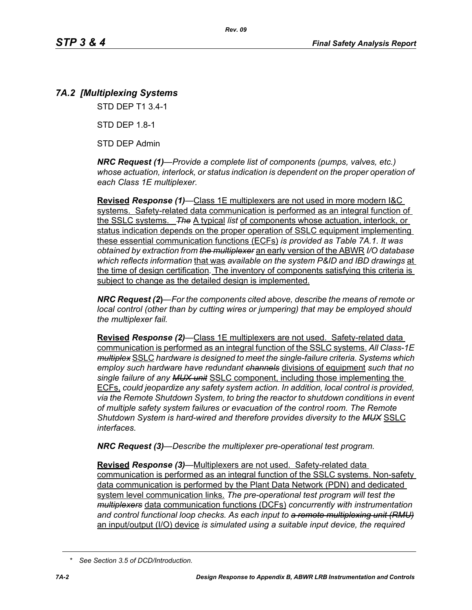# *7A.2 [Multiplexing Systems*

STD DEP T1 3.4-1

STD DEP 1.8-1

STD DEP Admin

*NRC Request (1)—Provide a complete list of components (pumps, valves, etc.) whose actuation, interlock, or status indication is dependent on the proper operation of each Class 1E multiplexer.*

**Revised** *Response (1)—*Class 1E multiplexers are not used in more modern I&C systems. Safety-related data communication is performed as an integral function of the SSLC systems. *The* A typical *list* of components whose actuation, interlock, or status indication depends on the proper operation of SSLC equipment implementing these essential communication functions (ECFs) *is provided as Table 7A.1. It was obtained by extraction from the multiplexer* an early version of the ABWR *I/O database which reflects information* that was *available on the system P&ID and IBD drawings* at the time of design certification*.* The inventory of components satisfying this criteria is subject to change as the detailed design is implemented.

*NRC Request (2***)***—For the components cited above, describe the means of remote or local control (other than by cutting wires or jumpering) that may be employed should the multiplexer fail.*

**Revised** *Response (2)—*Class 1E multiplexers are not used. Safety-related data communication is performed as an integral function of the SSLC systems. *All Class-1E multiplex* SSLC *hardware is designed to meet the single-failure criteria. Systems which employ such hardware have redundant channels* divisions of equipment *such that no single failure of any MUX unit* SSLC component, including those implementing the ECFs, *could jeopardize any safety system action. In addition, local control is provided, via the Remote Shutdown System, to bring the reactor to shutdown conditions in event of multiple safety system failures or evacuation of the control room. The Remote Shutdown System is hard-wired and therefore provides diversity to the MUX* SSLC *interfaces.*

*NRC Request (3)—Describe the multiplexer pre-operational test program.*

**Revised** *Response (3)—*Multiplexers are not used. Safety-related data communication is performed as an integral function of the SSLC systems. Non-safety data communication is performed by the Plant Data Network (PDN) and dedicated system level communication links. *The pre-operational test program will test the multiplexers* data communication functions (DCFs) *concurrently with instrumentation and control functional loop checks. As each input to a remote multiplexing unit (RMU)* an input/output (I/O) device *is simulated using a suitable input device, the required* 

*<sup>\*</sup> See Section 3.5 of DCD/Introduction.*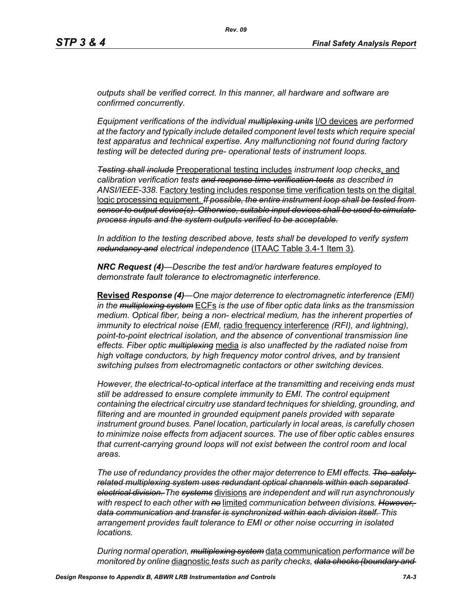*outputs shall be verified correct. In this manner, all hardware and software are confirmed concurrently.*

*Equipment verifications of the individual multiplexing units* I/O devices *are performed at the factory and typically include detailed component level tests which require special test apparatus and technical expertise. Any malfunctioning not found during factory testing will be detected during pre- operational tests of instrument loops.*

*Testing shall include* Preoperational testing includes *instrument loop checks*, and *calibration verification tests and response time verification tests as described in ANSI/IEEE-338.* Factory testing includes response time verification tests on the digital logic processing equipment. *If possible, the entire instrument loop shall be tested from sensor to output device(s). Otherwise, suitable input devices shall be used to simulate process inputs and the system outputs verified to be acceptable.*

*In addition to the testing described above, tests shall be developed to verify system redundancy and electrical independence* (ITAAC Table 3.4-1 Item 3)*.*

*NRC Request (4)—Describe the test and/or hardware features employed to demonstrate fault tolerance to electromagnetic interference.*

**Revised** *Response (4)—One major deterrence to electromagnetic interference (EMI) in the multiplexing system* ECFs *is the use of fiber optic data links as the transmission medium. Optical fiber, being a non- electrical medium, has the inherent properties of immunity to electrical noise (EMI,* radio frequency interference *(RFI), and lightning), point-to-point electrical isolation, and the absence of conventional transmission line effects. Fiber optic multiplexing* media *is also unaffected by the radiated noise from high voltage conductors, by high frequency motor control drives, and by transient switching pulses from electromagnetic contactors or other switching devices.* 

*However, the electrical-to-optical interface at the transmitting and receiving ends must still be addressed to ensure complete immunity to EMI. The control equipment containing the electrical circuitry use standard techniques for shielding, grounding, and filtering and are mounted in grounded equipment panels provided with separate instrument ground buses. Panel location, particularly in local areas, is carefully chosen to minimize noise effects from adjacent sources. The use of fiber optic cables ensures that current-carrying ground loops will not exist between the control room and local areas.* 

*The use of redundancy provides the other major deterrence to EMI effects. The safetyrelated multiplexing system uses redundant optical channels within each separated electrical division. The systems* divisions *are independent and will run asynchronously with respect to each other with no* limited *communication between divisions. However, data communication and transfer is synchronized within each division itself. This arrangement provides fault tolerance to EMI or other noise occurring in isolated locations.* 

*During normal operation, multiplexing system* data communication *performance will be monitored by online* diagnostic *tests such as parity checks, data checks (boundary and*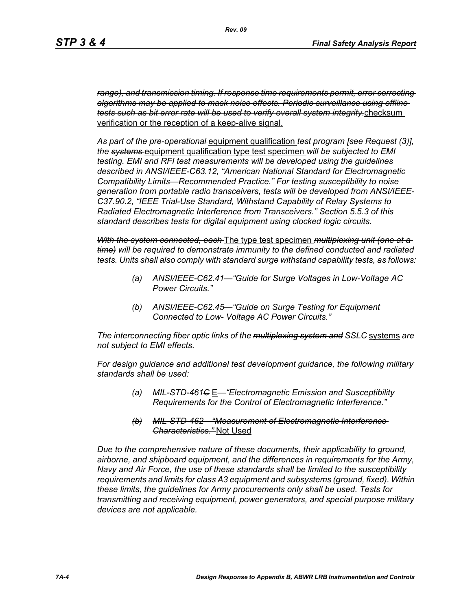*range), and transmission timing. If response time requirements permit, error correcting algorithms may be applied to mask noise effects. Periodic surveillance using offline tests such as bit error rate will be used to verify overall system integrity.*checksum verification or the reception of a keep-alive signal.

*As part of the pre-operational* equipment qualification *test program [see Request (3)], the systems* equipment qualification type test specimen *will be subjected to EMI testing. EMI and RFI test measurements will be developed using the guidelines described in ANSI/IEEE-C63.12, "American National Standard for Electromagnetic Compatibility Limits—Recommended Practice." For testing susceptibility to noise generation from portable radio transceivers, tests will be developed from ANSI/IEEE-C37.90.2, "IEEE Trial-Use Standard, Withstand Capability of Relay Systems to Radiated Electromagnetic Interference from Transceivers." Section 5.5.3 of this standard describes tests for digital equipment using clocked logic circuits.*

*With the system connected, each* The type test specimen *multiplexing unit (one at a time) will be required to demonstrate immunity to the defined conducted and radiated tests. Units shall also comply with standard surge withstand capability tests, as follows:*

- *(a) ANSI/IEEE-C62.41—"Guide for Surge Voltages in Low-Voltage AC Power Circuits."*
- *(b) ANSI/IEEE-C62.45—"Guide on Surge Testing for Equipment Connected to Low- Voltage AC Power Circuits."*

*The interconnecting fiber optic links of the multiplexing system and SSLC* systems *are not subject to EMI effects.*

*For design guidance and additional test development guidance, the following military standards shall be used:*

- *(a) MIL-STD-461C* E*—"Electromagnetic Emission and Susceptibility Requirements for the Control of Electromagnetic Interference."*
- *(b) MIL-STD-462—"Measurement of Electromagnetic Interference Characteristics."* Not Used

*Due to the comprehensive nature of these documents, their applicability to ground, airborne, and shipboard equipment, and the differences in requirements for the Army, Navy and Air Force, the use of these standards shall be limited to the susceptibility requirements and limits for class A3 equipment and subsystems (ground, fixed). Within these limits, the guidelines for Army procurements only shall be used. Tests for transmitting and receiving equipment, power generators, and special purpose military devices are not applicable.*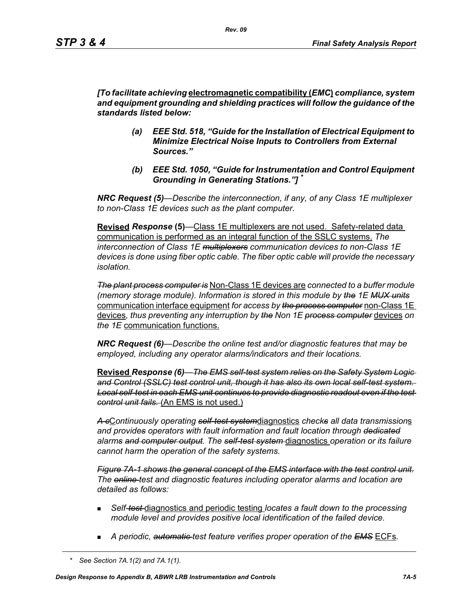*[To facilitate achieving* **electromagnetic compatibility (***EMC***)** *compliance, system and equipment grounding and shielding practices will follow the guidance of the standards listed below:*

- *(a) EEE Std. 518, "Guide for the Installation of Electrical Equipment to Minimize Electrical Noise Inputs to Controllers from External Sources."*
- *(b) EEE Std. 1050, "Guide for Instrumentation and Control Equipment Grounding in Generating Stations."] \**

*NRC Request (5)*—*Describe the interconnection, if any, of any Class 1E multiplexer to non-Class 1E devices such as the plant computer.* 

**Revised** *Response* **(5)***—*Class 1E multiplexers are not used. Safety-related data communication is performed as an integral function of the SSLC systems. *The interconnection of Class 1E multiplexers communication devices to non-Class 1E devices is done using fiber optic cable. The fiber optic cable will provide the necessary isolation.* 

*The plant process computer is* Non-Class 1E devices are *connected to a buffer module (memory storage module). Information is stored in this module by the 1E MUX units* communication interface equipment *for access by the process computer* non-Class 1E devices*, thus preventing any interruption by the Non 1E process computer* devices *on the 1E* communication functions.

*NRC Request (6)—Describe the online test and/or diagnostic features that may be employed, including any operator alarms/indicators and their locations.* 

**Revised** *Response (6)—The EMS self-test system relies on the Safety System Logic and Control (SSLC) test control unit, though it has also its own local self-test system. Local self-test in each EMS unit continues to provide diagnostic readout even if the test control unit fails.* (An EMS is not used.)

*A c*C*ontinuously operating self-test system*diagnostics *checks all data transmission*s *and provides operators with fault information and fault location through dedicated alarms and computer output. The self-test system* diagnostics *operation or its failure cannot harm the operation of the safety systems.*

*Figure 7A-1 shows the general concept of the EMS interface with the test control unit. The online test and diagnostic features including operator alarms and location are detailed as follows:*

- *Self-test* diagnostics and periodic testing *locates a fault down to the processing module level and provides positive local identification of the failed device.*
- *A periodic, automatic test feature verifies proper operation of the EMS* ECFs*.*

*<sup>\*</sup> See Section 7A.1(2) and 7A.1(1).*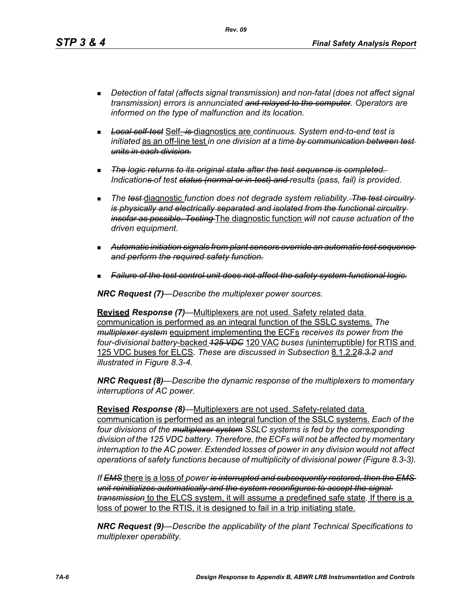*Rev. 09*

- *Detection of fatal (affects signal transmission) and non-fatal (does not affect signal transmission) errors is annunciated and relayed to the computer. Operators are informed on the type of malfunction and its location.*
- *Local self-test* Self- *is* diagnostics are *continuous. System end-to-end test is initiated* as an off-line test *in one division at a time by communication between test units in each division.*
- *The logic returns to its original state after the test sequence is completed. Indications of test status (normal or in-test) and results (pass, fail) is provided.*
- **The test diagnostic function does not degrade system reliability.** The test circuitry*is physically and electrically separated and isolated from the functional circuitry insofar as possible. Testing* The diagnostic function *will not cause actuation of the driven equipment.*
- *Automatic initiation signals from plant sensors override an automatic test sequence and perform the required safety function.*
- *Failure of the test control unit does not affect the safety system functional logic.*

*NRC Request (7)—Describe the multiplexer power sources.*

**Revised** *Response (7)—*Multiplexers are not used. Safety related data communication is performed as an integral function of the SSLC systems. *The multiplexer system* equipment implementing the ECFs *receives its power from the four-divisional battery*-backed *125 VDC* 120 VAC *buses (*uninterruptible*)* for RTIS and 125 VDC buses for ELCS*. These are discussed in Subsection* 8.1.2.2*8.3.2 and illustrated in Figure 8.3-4.*

*NRC Request (8)—Describe the dynamic response of the multiplexers to momentary interruptions of AC power.*

**Revised** *Response (8)—*Multiplexers are not used. Safety-related data communication is performed as an integral function of the SSLC systems. *Each of the four divisions of the multiplexer system SSLC systems is fed by the corresponding division of the 125 VDC battery. Therefore, the ECFs will not be affected by momentary interruption to the AC power. Extended losses of power in any division would not affect operations of safety functions because of multiplicity of divisional power (Figure 8.3-3).*

*If EMS* there is a loss of *power is interrupted and subsequently restored, then the EMS unit reinitializes automatically and the system reconfigures to accept the signal transmission* to the ELCS system, it will assume a predefined safe state*.* If there is a loss of power to the RTIS, it is designed to fail in a trip initiating state.

*NRC Request (9)—Describe the applicability of the plant Technical Specifications to multiplexer operability.*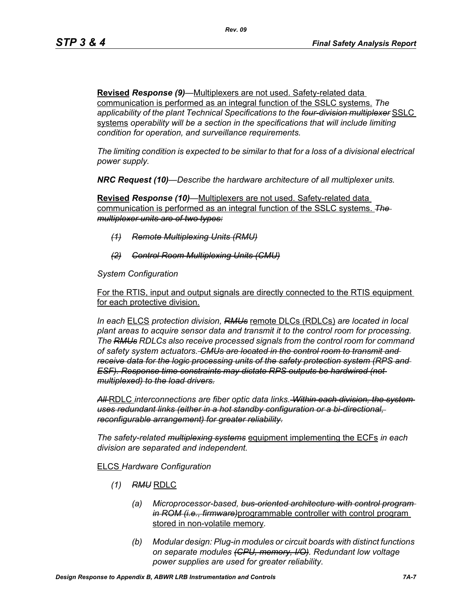**Revised** *Response (9)—*Multiplexers are not used. Safety-related data communication is performed as an integral function of the SSLC systems. *The applicability of the plant Technical Specifications to the four-division multiplexer* SSLC systems *operability will be a section in the specifications that will include limiting condition for operation, and surveillance requirements.*

*The limiting condition is expected to be similar to that for a loss of a divisional electrical power supply.*

*NRC Request (10)—Describe the hardware architecture of all multiplexer units.* 

**Revised** *Response (10)—*Multiplexers are not used. Safety-related data communication is performed as an integral function of the SSLC systems. *The multiplexer units are of two types:*

- *(1) Remote Multiplexing Units (RMU)*
- *(2) Control Room Multiplexing Units (CMU)*

*System Configuration*

For the RTIS, input and output signals are directly connected to the RTIS equipment for each protective division.

*In each* ELCS *protection division, RMUs* remote DLCs (RDLCs) *are located in local plant areas to acquire sensor data and transmit it to the control room for processing. The RMUs RDLCs also receive processed signals from the control room for command of safety system actuators. CMUs are located in the control room to transmit and receive data for the logic processing units of the safety protection system (RPS and ESF). Response time constraints may dictate RPS outputs be hardwired (not multiplexed) to the load drivers.*

*All* RDLC *interconnections are fiber optic data links. Within each division, the system uses redundant links (either in a hot standby configuration or a bi-directional, reconfigurable arrangement) for greater reliability.*

*The safety-related multiplexing systems* equipment implementing the ECFs *in each division are separated and independent.*

## ELCS *Hardware Configuration*

- *(1) RMU* RDLC
	- *(a) Microprocessor-based, bus-oriented architecture with control program in ROM (i.e., firmware)*programmable controller with control program stored in non-volatile memory*.*
	- *(b) Modular design: Plug-in modules or circuit boards with distinct functions on separate modules (CPU, memory, I/O). Redundant low voltage power supplies are used for greater reliability.*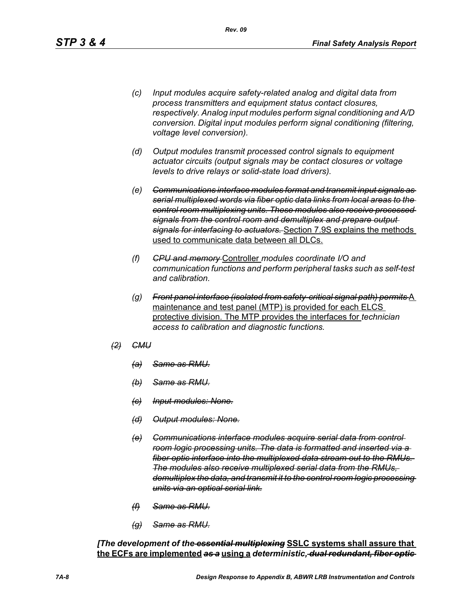- *(c) Input modules acquire safety-related analog and digital data from process transmitters and equipment status contact closures, respectively. Analog input modules perform signal conditioning and A/D conversion. Digital input modules perform signal conditioning (filtering, voltage level conversion).*
- *(d) Output modules transmit processed control signals to equipment actuator circuits (output signals may be contact closures or voltage levels to drive relays or solid-state load drivers).*
- *(e) Communications interface modules format and transmit input signals as serial multiplexed words via fiber optic data links from local areas to the control room multiplexing units. These modules also receive processed signals from the control room and demultiplex and prepare output signals for interfacing to actuators.* Section 7.9S explains the methods used to communicate data between all DLCs.
- *(f) CPU and memory* Controller *modules coordinate I/O and communication functions and perform peripheral tasks such as self-test and calibration.*
- *(g) Front panel interface (isolated from safety-critical signal path) permits* A maintenance and test panel (MTP) is provided for each ELCS protective division. The MTP provides the interfaces for *technician access to calibration and diagnostic functions.*
- *(2) CMU*
	- *(a) Same as RMU.*
	- *(b) Same as RMU.*
	- *(c) Input modules: None.*
	- *(d) Output modules: None.*
	- *(e) Communications interface modules acquire serial data from control room logic processing units. The data is formatted and inserted via a fiber optic interface into the multiplexed data stream out to the RMUs. The modules also receive multiplexed serial data from the RMUs, demultiplex the data, and transmit it to the control room logic processing units via an optical serial link.*
	- *(f) Same as RMU.*
	- *(g) Same as RMU.*

*[The development of the essential multiplexing* **SSLC systems shall assure that the ECFs are implemented** *as a* **using a** *deterministic, dual redundant, fiber optic*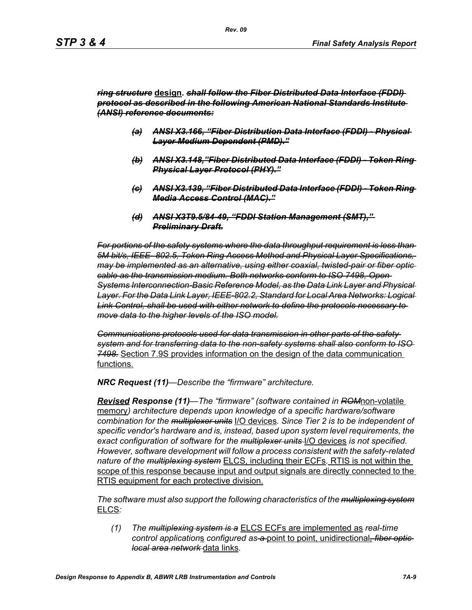### *ring structure* **design.** *shall follow the Fiber Distributed Data Interface (FDDI) protocol as described in the following American National Standards Institute (ANSI) reference documents:*

- *(a) ANSI X3.166, "Fiber Distribution Data Interface (FDDI) Physical Layer Medium Dependent (PMD)."*
- *(b) ANSI X3.148,"Fiber Distributed Data Interface (FDDI) Token Ring Physical Layer Protocol (PHY)."*
- *(c) ANSI X3.139, "Fiber Distributed Data Interface (FDDI) Token Ring Media Access Control (MAC)."*
- *(d) ANSI X3T9.5/84-49, "FDDI Station Management (SMT)," Preliminary Draft.*

*For portions of the safety systems where the data throughput requirement is less than 5M bit/s, IEEE- 802.5, Token Ring Access Method and Physical Layer Specifications, may be implemented as an alternative, using either coaxial, twisted-pair or fiber optic cable as the transmission medium. Both networks conform to ISO 7498, Open Systems Interconnection-Basic Reference Model, as the Data Link Layer and Physical Layer. For the Data Link Layer, IEEE-802.2, Standard for Local Area Networks: Logical Link Control, shall be used with either network to define the protocols necessary to move data to the higher levels of the ISO model.*

*Communications protocols used for data transmission in other parts of the safety system and for transferring data to the non-safety systems shall also conform to ISO 7498.* Section 7.9S provides information on the design of the data communication functions.

*NRC Request (11)—Describe the "firmware" architecture.*

*Revised Response (11)—The "firmware" (software contained in ROM*non-volatile memory*) architecture depends upon knowledge of a specific hardware/software combination for the multiplexer units* I/O devices*. Since Tier 2 is to be independent of specific vendor's hardware and is, instead, based upon system level requirements, the exact configuration of software for the multiplexer units* I/O devices *is not specified. However, software development will follow a process consistent with the safety-related nature of the multiplexing system* ELCS, including their ECFs*.* RTIS is not within the scope of this response because input and output signals are directly connected to the RTIS equipment for each protective division.

*The software must also support the following characteristics of the multiplexing system* ELCS*:*

*(1) The multiplexing system is a* ELCS ECFs are implemented as *real-time control application*s *configured as a* point to point, unidirectional*, fiber optic local area network* data links*.*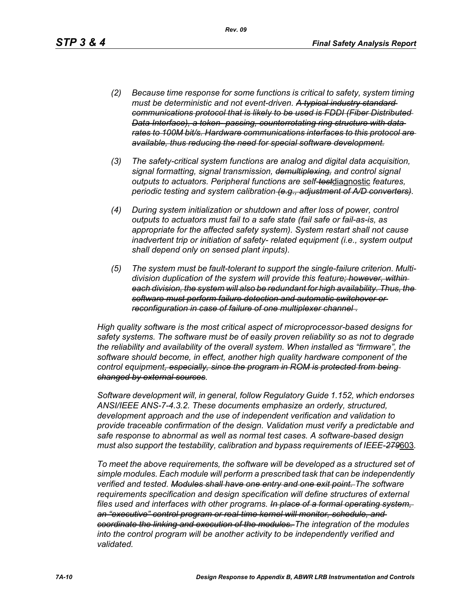*(2) Because time response for some functions is critical to safety, system timing must be deterministic and not event-driven. A typical industry standard communications protocol that is likely to be used is FDDI (Fiber Distributed Data Interface), a token- passing, counterrotating ring structure with data rates to 100M bit/s. Hardware communications interfaces to this protocol are available, thus reducing the need for special software development.*

*Rev. 09*

- *(3) The safety-critical system functions are analog and digital data acquisition, signal formatting, signal transmission, demultiplexing, and control signal outputs to actuators. Peripheral functions are self-test*diagnostic *features, periodic testing and system calibration (e.g., adjustment of A/D converters).*
- *(4) During system initialization or shutdown and after loss of power, control outputs to actuators must fail to a safe state (fail safe or fail-as-is, as appropriate for the affected safety system). System restart shall not cause inadvertent trip or initiation of safety- related equipment (i.e., system output shall depend only on sensed plant inputs).*
- *(5) The system must be fault-tolerant to support the single-failure criterion. Multidivision duplication of the system will provide this feature; however, within each division, the system will also be redundant for high availability. Thus, the software must perform failure detection and automatic switchover or reconfiguration in case of failure of one multiplexer channel .*

*High quality software is the most critical aspect of microprocessor-based designs for safety systems. The software must be of easily proven reliability so as not to degrade the reliability and availability of the overall system. When installed as "firmware", the software should become, in effect, another high quality hardware component of the control equipment, especially, since the program in ROM is protected from being changed by external sources.*

*Software development will, in general, follow Regulatory Guide 1.152, which endorses ANSI/IEEE ANS-7-4.3.2. These documents emphasize an orderly, structured, development approach and the use of independent verification and validation to provide traceable confirmation of the design. Validation must verify a predictable and safe response to abnormal as well as normal test cases. A software-based design must also support the testability, calibration and bypass requirements of IEEE-279*603*.*

*To meet the above requirements, the software will be developed as a structured set of simple modules. Each module will perform a prescribed task that can be independently verified and tested. Modules shall have one entry and one exit point. The software requirements specification and design specification will define structures of external files used and interfaces with other programs. In place of a formal operating system, an "executive" control program or real-time kernel will monitor, schedule, and coordinate the linking and execution of the modules. The integration of the modules*  into the control program will be another activity to be independently verified and *validated.*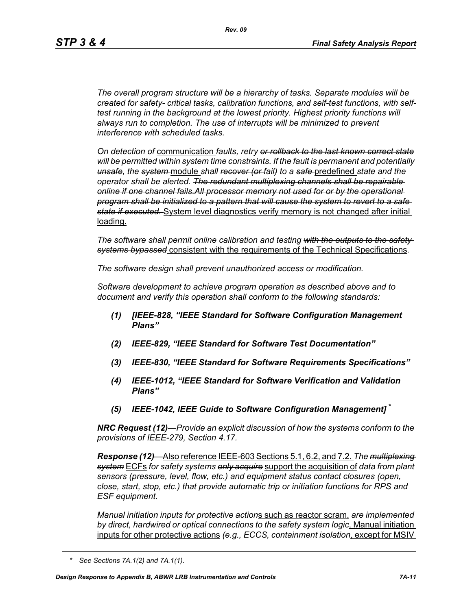*The overall program structure will be a hierarchy of tasks. Separate modules will be created for safety- critical tasks, calibration functions, and self-test functions, with selftest running in the background at the lowest priority. Highest priority functions will always run to completion. The use of interrupts will be minimized to prevent interference with scheduled tasks.* 

*On detection of* communication *faults, retry or rollback to the last known correct state will be permitted within system time constraints. If the fault is permanent and potentially unsafe, the system* module *shall recover (or fail) to a safe* predefined *state and the operator shall be alerted. The redundant multiplexing channels shall be repairable online if one channel fails.All processor memory not used for or by the operational program shall be initialized to a pattern that will cause the system to revert to a safe state if executed.* System level diagnostics verify memory is not changed after initial loading.

*The software shall permit online calibration and testing with the outputs to the safety systems bypassed* consistent with the requirements of the Technical Specifications*.* 

*The software design shall prevent unauthorized access or modification.* 

*Software development to achieve program operation as described above and to document and verify this operation shall conform to the following standards:*

- *(1) [IEEE-828, "IEEE Standard for Software Configuration Management Plans"*
- *(2) IEEE-829, "IEEE Standard for Software Test Documentation"*
- *(3) IEEE-830, "IEEE Standard for Software Requirements Specifications"*
- *(4) IEEE-1012, "IEEE Standard for Software Verification and Validation Plans"*
- *(5) IEEE-1042, IEEE Guide to Software Configuration Management]* **\***

*NRC Request (12)—Provide an explicit discussion of how the systems conform to the provisions of IEEE-279, Section 4.17.* 

*Response (12)—*Also reference IEEE-603 Sections 5.1, 6.2, and 7.2. *The multiplexing system* ECFs *for safety systems only acquire* support the acquisition of *data from plant sensors (pressure, level, flow, etc.) and equipment status contact closures (open, close, start, stop, etc.) that provide automatic trip or initiation functions for RPS and ESF equipment.* 

*Manual initiation inputs for protective action*s such as reactor scram, *are implemented by direct, hardwired or optical connections to the safety system logic*. Manual initiation inputs for other protective actions *(e.g., ECCS, containment isolation*, except for MSIV

*<sup>\*</sup> See Sections 7A.1(2) and 7A.1(1).*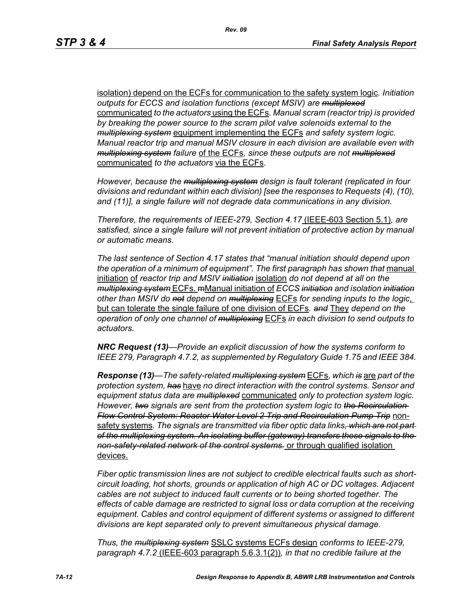isolation) depend on the ECFs for communication to the safety system logic*. Initiation outputs for ECCS and isolation functions (except MSIV) are multiplexed* communicated *to the actuators* using the ECFs*. Manual scram (reactor trip) is provided by breaking the power source to the scram pilot valve solenoids external to the multiplexing system* equipment implementing the ECFs *and safety system logic. Manual reactor trip and manual MSIV closure in each division are available even with multiplexing system failure* of the ECFs*, since these outputs are not multiplexed* communicated *to the actuators* via the ECFs*.* 

*However, because the multiplexing system design is fault tolerant (replicated in four divisions and redundant within each division) [see the responses to Requests (4), (10), and (11)], a single failure will not degrade data communications in any division.* 

*Therefore, the requirements of IEEE-279, Section 4.17* (IEEE-603 Section 5.1)*, are satisfied, since a single failure will not prevent initiation of protective action by manual or automatic means.* 

*The last sentence of Section 4.17 states that "manual initiation should depend upon*  the operation of a minimum of equipment". The first paragraph has shown that manual initiation of *reactor trip and MSIV initiation* isolation *do not depend at all on the multiplexing system* ECFs. mManual initiation of *ECCS initiation and isolation initiation other than MSIV do not depend on multiplexing* ECFs *for sending inputs to the logic*, but can tolerate the single failure of one division of ECFs*. and* They *depend on the operation of only one channel of multiplexing* ECFs *in each division to send outputs to actuators.* 

*NRC Request (13)—Provide an explicit discussion of how the systems conform to IEEE 279, Paragraph 4.7.2, as supplemented by Regulatory Guide 1.75 and IEEE 384.*

*Response (13)—The safety-related multiplexing system* ECFs*, which is* are *part of the protection system, has* have *no direct interaction with the control systems. Sensor and equipment status data are multiplexed* communicated *only to protection system logic. However, two signals are sent from the protection system logic to the Recirculation Flow Control System: Reactor Water Level 2 Trip and Recirculation Pump Trip* nonsafety systems*. The signals are transmitted via fiber optic data links, which are not part of the multiplexing system. An isolating buffer (gateway) transfers these signals to the non-safety-related network of the control systems.* or through qualified isolation devices.

*Fiber optic transmission lines are not subject to credible electrical faults such as shortcircuit loading, hot shorts, grounds or application of high AC or DC voltages. Adjacent cables are not subject to induced fault currents or to being shorted together. The effects of cable damage are restricted to signal loss or data corruption at the receiving equipment. Cables and control equipment of different systems or assigned to different divisions are kept separated only to prevent simultaneous physical damage.* 

*Thus, the multiplexing system* SSLC systems ECFs design *conforms to IEEE-279, paragraph 4.7.2* (IEEE-603 paragraph 5.6.3.1(2))*, in that no credible failure at the*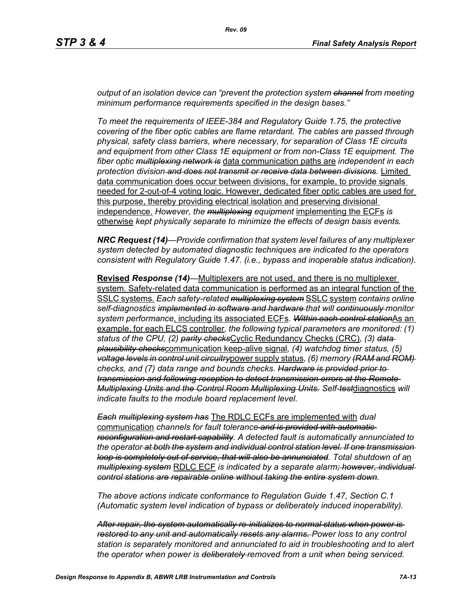*output of an isolation device can "prevent the protection system channel from meeting minimum performance requirements specified in the design bases."*

*To meet the requirements of IEEE-384 and Regulatory Guide 1.75, the protective covering of the fiber optic cables are flame retardant. The cables are passed through physical, safety class barriers, where necessary, for separation of Class 1E circuits and equipment from other Class 1E equipment or from non-Class 1E equipment. The fiber optic multiplexing network is* data communication paths are *independent in each protection division and does not transmit or receive data between divisions.* Limited data communication does occur between divisions, for example, to provide signals needed for 2-out-of-4 voting logic. However, dedicated fiber optic cables are used for this purpose, thereby providing electrical isolation and preserving divisional independence. *However, the multiplexing equipment* implementing the ECFs *is*  otherwise *kept physically separate to minimize the effects of design basis events.* 

*NRC Request (14)—Provide confirmation that system level failures of any multiplexer system detected by automated diagnostic techniques are indicated to the operators consistent with Regulatory Guide 1.47. (i.e., bypass and inoperable status indication).*

**Revised** *Response (14)—*Multiplexers are not used, and there is no multiplexer system. Safety-related data communication is performed as an integral function of the SSLC systems. *Each safety-related multiplexing system* SSLC system *contains online self-diagnostics implemented in software and hardware that will continuously monitor system performance*, including its associated ECFs*. Within each control station*As an example, for each ELCS controller*, the following typical parameters are monitored: (1) status of the CPU, (2) parity checks*Cyclic Redundancy Checks (CRC)*, (3) data plausibility checks*communication keep-alive signal*, (4) watchdog timer status, (5) voltage levels in control unit circuitry*power supply status*, (6) memory (RAM and ROM) checks, and (7) data range and bounds checks. Hardware is provided prior to transmission and following reception to detect transmission errors at the Remote Multiplexing Units and the Control Room Multiplexing Units. Self-test*diagnostics *will indicate faults to the module board replacement level.* 

*Each multiplexing system has* The RDLC ECFs are implemented with *dual*  communication *channels for fault tolerance and is provided with automatic reconfiguration and restart capability. A detected fault is automatically annunciated to the operator at both the system and individual control station level. If one transmission loop is completely out of service, that will also be annunciated. Total shutdown of a*n *multiplexing system* RDLC ECF *is indicated by a separate alarm; however, individual control stations are repairable online without taking the entire system down.* 

*The above actions indicate conformance to Regulation Guide 1.47, Section C.1 (Automatic system level indication of bypass or deliberately induced inoperability).* 

*After repair, the system automatically re-initializes to normal status when power is restored to any unit and automatically resets any alarms. Power loss to any control station is separately monitored and annunciated to aid in troubleshooting and to alert the operator when power is deliberately removed from a unit when being serviced.*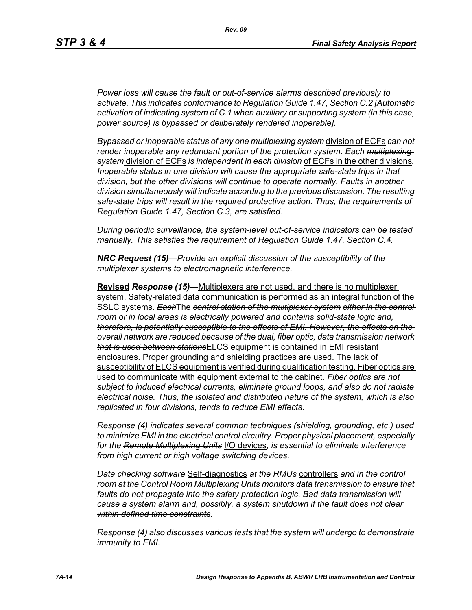*Power loss will cause the fault or out-of-service alarms described previously to activate. This indicates conformance to Regulation Guide 1.47, Section C.2 [Automatic activation of indicating system of C.1 when auxiliary or supporting system (in this case, power source) is bypassed or deliberately rendered inoperable].* 

*Bypassed or inoperable status of any one multiplexing system* division of ECFs *can not render inoperable any redundant portion of the protection system. Each multiplexing system* division of ECFs *is independent in each division* of ECFs in the other divisions*. Inoperable status in one division will cause the appropriate safe-state trips in that division, but the other divisions will continue to operate normally. Faults in another division simultaneously will indicate according to the previous discussion. The resulting safe-state trips will result in the required protective action. Thus, the requirements of Regulation Guide 1.47, Section C.3, are satisfied.* 

*During periodic surveillance, the system-level out-of-service indicators can be tested manually. This satisfies the requirement of Regulation Guide 1.47, Section C.4.* 

*NRC Request (15)—Provide an explicit discussion of the susceptibility of the multiplexer systems to electromagnetic interference.*

**Revised** *Response (15)—*Multiplexers are not used, and there is no multiplexer system. Safety-related data communication is performed as an integral function of the SSLC systems. *Each*The *control station of the multiplexer system either in the control room or in local areas is electrically powered and contains solid-state logic and, therefore, is potentially susceptible to the effects of EMI. However, the effects on the overall network are reduced because of the dual, fiber optic, data transmission network that is used between stations*ELCS equipment is contained in EMI resistant enclosures. Proper grounding and shielding practices are used. The lack of susceptibility of ELCS equipment is verified during qualification testing. Fiber optics are used to communicate with equipment external to the cabinet*. Fiber optics are not subject to induced electrical currents, eliminate ground loops, and also do not radiate electrical noise. Thus, the isolated and distributed nature of the system, which is also replicated in four divisions, tends to reduce EMI effects.* 

*Response (4) indicates several common techniques (shielding, grounding, etc.) used to minimize EMI in the electrical control circuitry. Proper physical placement, especially for the Remote Multiplexing Units* I/O devices*, is essential to eliminate interference from high current or high voltage switching devices.* 

*Data checking software* Self-diagnostics *at the RMUs* controllers *and in the control room at the Control Room Multiplexing Units monitors data transmission to ensure that*  faults do not propagate into the safety protection logic. Bad data transmission will *cause a system alarm and, possibly, a system shutdown if the fault does not clear within defined time constraints.*

*Response (4) also discusses various tests that the system will undergo to demonstrate immunity to EMI.*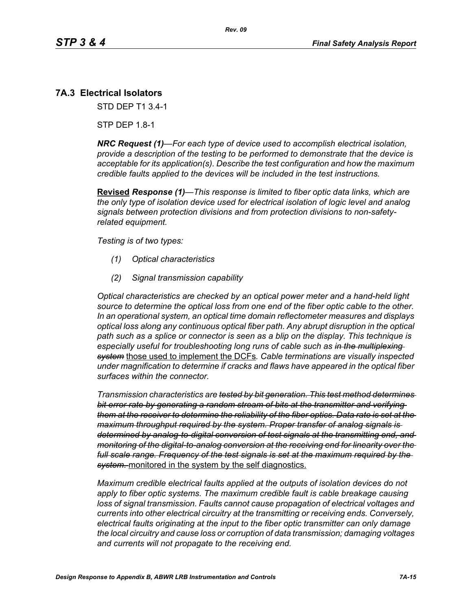# **7A.3 Electrical Isolators**

STD DEP T1 3.4-1

STP DEP 1.8-1

*NRC Request (1)—For each type of device used to accomplish electrical isolation, provide a description of the testing to be performed to demonstrate that the device is acceptable for its application(s). Describe the test configuration and how the maximum credible faults applied to the devices will be included in the test instructions.*

**Revised** *Response (1)—This response is limited to fiber optic data links, which are the only type of isolation device used for electrical isolation of logic level and analog signals between protection divisions and from protection divisions to non-safetyrelated equipment.* 

*Testing is of two types:*

- *(1) Optical characteristics*
- *(2) Signal transmission capability*

*Optical characteristics are checked by an optical power meter and a hand-held light source to determine the optical loss from one end of the fiber optic cable to the other. In an operational system, an optical time domain reflectometer measures and displays optical loss along any continuous optical fiber path. Any abrupt disruption in the optical path such as a splice or connector is seen as a blip on the display. This technique is especially useful for troubleshooting long runs of cable such as in the multiplexing system* those used to implement the DCFs*. Cable terminations are visually inspected under magnification to determine if cracks and flaws have appeared in the optical fiber surfaces within the connector.* 

*Transmission characteristics are tested by bit generation. This test method determines bit error rate by generating a random stream of bits at the transmitter and verifying them at the receiver to determine the reliability of the fiber optics. Data rate is set at the maximum throughput required by the system. Proper transfer of analog signals is determined by analog-to-digital conversion of test signals at the transmitting end, and monitoring of the digital-to-analog conversion at the receiving end for linearity over the full scale range. Frequency of the test signals is set at the maximum required by the system.* monitored in the system by the self diagnostics.

*Maximum credible electrical faults applied at the outputs of isolation devices do not apply to fiber optic systems. The maximum credible fault is cable breakage causing loss of signal transmission. Faults cannot cause propagation of electrical voltages and currents into other electrical circuitry at the transmitting or receiving ends. Conversely, electrical faults originating at the input to the fiber optic transmitter can only damage the local circuitry and cause loss or corruption of data transmission; damaging voltages and currents will not propagate to the receiving end.*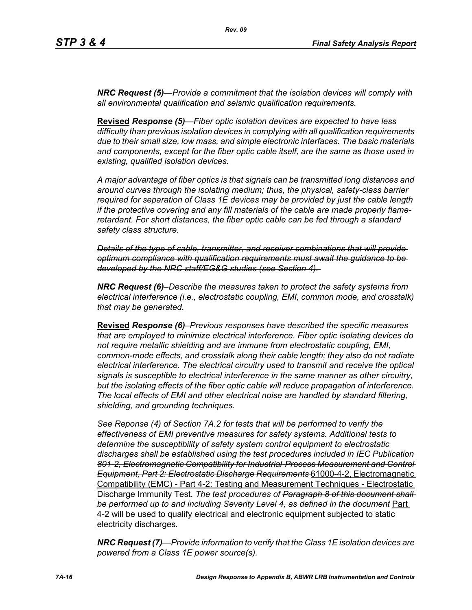*NRC Request (5)—Provide a commitment that the isolation devices will comply with all environmental qualification and seismic qualification requirements.*

**Revised** *Response (5)—Fiber optic isolation devices are expected to have less difficulty than previous isolation devices in complying with all qualification requirements due to their small size, low mass, and simple electronic interfaces. The basic materials and components, except for the fiber optic cable itself, are the same as those used in existing, qualified isolation devices.* 

*A major advantage of fiber optics is that signals can be transmitted long distances and around curves through the isolating medium; thus, the physical, safety-class barrier required for separation of Class 1E devices may be provided by just the cable length if the protective covering and any fill materials of the cable are made properly flameretardant. For short distances, the fiber optic cable can be fed through a standard safety class structure.* 

*Details of the type of cable, transmitter, and receiver combinations that will provide optimum compliance with qualification requirements must await the guidance to be developed by the NRC staff/EG&G studies (see Section 4).* 

*NRC Request (6)–Describe the measures taken to protect the safety systems from electrical interference (i.e., electrostatic coupling, EMI, common mode, and crosstalk) that may be generated.*

**Revised** *Response (6)–Previous responses have described the specific measures that are employed to minimize electrical interference. Fiber optic isolating devices do not require metallic shielding and are immune from electrostatic coupling, EMI, common-mode effects, and crosstalk along their cable length; they also do not radiate electrical interference. The electrical circuitry used to transmit and receive the optical signals is susceptible to electrical interference in the same manner as other circuitry, but the isolating effects of the fiber optic cable will reduce propagation of interference. The local effects of EMI and other electrical noise are handled by standard filtering, shielding, and grounding techniques.*

*See Reponse (4) of Section 7A.2 for tests that will be performed to verify the effectiveness of EMI preventive measures for safety systems. Additional tests to determine the susceptibility of safety system control equipment to electrostatic discharges shall be established using the test procedures included in IEC Publication 801-2, Electromagnetic Compatibility for Industrial-Process Measurement and Control Equipment, Part 2: Electrostatic Discharge Requirements* 61000-4-2, Electromagnetic Compatibility (EMC) - Part 4-2: Testing and Measurement Techniques - Electrostatic Discharge Immunity Test*. The test procedures of Paragraph 8 of this document shall be performed up to and including Severity Level 4, as defined in the document* Part 4-2 will be used to qualify electrical and electronic equipment subjected to static electricity discharges*.*

*NRC Request (7)—Provide information to verify that the Class 1E isolation devices are powered from a Class 1E power source(s).*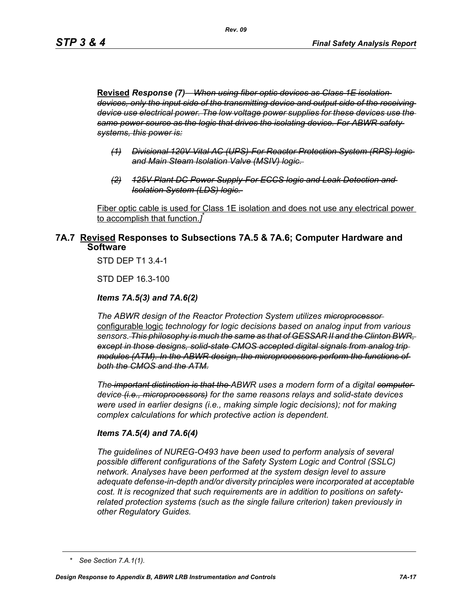**Revised** *Response (7)—When using fiber optic devices as Class 1E isolation devices, only the input side of the transmitting device and output side of the receiving device use electrical power. The low voltage power supplies for these devices use the same power source as the logic that drives the isolating device. For ABWR safety systems, this power is:*

- *(1) Divisional 120V Vital AC (UPS)-For Reactor Protection System (RPS) logic and Main Steam Isolation Valve (MSIV) logic.*
- *(2) 125V Plant DC Power Supply-For ECCS logic and Leak Detection and Isolation System (LDS) logic.*

Fiber optic cable is used for Class 1E isolation and does not use any electrical power to accomplish that function.*]* \*

## **7A.7 Revised Responses to Subsections 7A.5 & 7A.6; Computer Hardware and Software**

STD DEP T1 3.4-1

STD DEP 16.3-100

#### *Items 7A.5(3) and 7A.6(2)*

*The ABWR design of the Reactor Protection System utilizes microprocessor*  configurable logic *technology for logic decisions based on analog input from various sensors. This philosophy is much the same as that of GESSAR II and the Clinton BWR, except in those designs, solid-state CMOS accepted digital signals from analog trip modules (ATM). In the ABWR design, the microprocessors perform the functions of both the CMOS and the ATM.*

*The important distinction is that the ABWR uses a modern form of a digital computer device (i.e., microprocessors) for the same reasons relays and solid-state devices were used in earlier designs (i.e., making simple logic decisions); not for making complex calculations for which protective action is dependent.*

#### *Items 7A.5(4) and 7A.6(4)*

*The guidelines of NUREG-O493 have been used to perform analysis of several possible different configurations of the Safety System Logic and Control (SSLC) network. Analyses have been performed at the system design level to assure adequate defense-in-depth and/or diversity principles were incorporated at acceptable cost. It is recognized that such requirements are in addition to positions on safetyrelated protection systems (such as the single failure criterion) taken previously in other Regulatory Guides.*

*<sup>\*</sup> See Section 7.A.1(1).*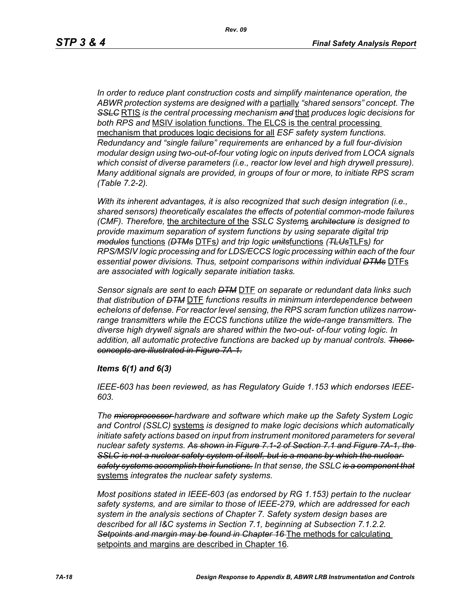*In order to reduce plant construction costs and simplify maintenance operation, the ABWR protection systems are designed with a* partially *"shared sensors" concept. The SSLC* RTIS *is the central processing mechanism and* that *produces logic decisions for both RPS and* MSIV isolation functions. The ELCS is the central processing mechanism that produces logic decisions for all *ESF safety system functions. Redundancy and "single failure" requirements are enhanced by a full four-division modular design using two-out-of-four voting logic on inputs derived from LOCA signals which consist of diverse parameters (i.e., reactor low level and high drywell pressure). Many additional signals are provided, in groups of four or more, to initiate RPS scram (Table 7.2-2).*

*With its inherent advantages, it is also recognized that such design integration (i.e., shared sensors) theoretically escalates the effects of potential common-mode failures (CMF). Therefore,* the architecture of the *SSLC System*s *architecture is designed to provide maximum separation of system functions by using separate digital trip modules* functions *(DTMs* DTFs*) and trip logic units*functions *(TLUs*TLFs*) for RPS/MSIV logic processing and for LDS/ECCS logic processing within each of the four essential power divisions. Thus, setpoint comparisons within individual DTMs* DTFs *are associated with logically separate initiation tasks.* 

*Sensor signals are sent to each DTM* DTF *on separate or redundant data links such that distribution of DTM* DTF *functions results in minimum interdependence between echelons of defense. For reactor level sensing, the RPS scram function utilizes narrowrange transmitters while the ECCS functions utilize the wide-range transmitters. The diverse high drywell signals are shared within the two-out- of-four voting logic. In addition, all automatic protective functions are backed up by manual controls. These concepts are illustrated in Figure 7A-1.*

#### *Items 6(1) and 6(3)*

*IEEE-603 has been reviewed, as has Regulatory Guide 1.153 which endorses IEEE-603.*

*The microprocessor hardware and software which make up the Safety System Logic and Control (SSLC)* systems *is designed to make logic decisions which automatically initiate safety actions based on input from instrument monitored parameters for several nuclear safety systems. As shown in Figure 7.1-2 of Section 7.1 and Figure 7A-1, the*  **SSLC is not a nuclear safety system of itself, but is a means by which the nuclear** *safety systems accomplish their functions. In that sense, the SSLC is a component that* systems *integrates the nuclear safety systems.*

*Most positions stated in IEEE-603 (as endorsed by RG 1.153) pertain to the nuclear safety systems, and are similar to those of IEEE-279, which are addressed for each system in the analysis sections of Chapter 7. Safety system design bases are described for all I&C systems in Section 7.1, beginning at Subsection 7.1.2.2. Setpoints and margin may be found in Chapter 16* The methods for calculating setpoints and margins are described in Chapter 16*.*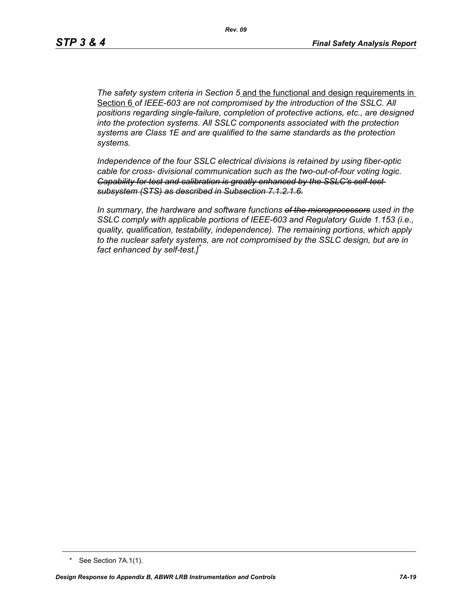*The safety system criteria in Section 5* and the functional and design requirements in Section 6 *of IEEE-603 are not compromised by the introduction of the SSLC. All positions regarding single-failure, completion of protective actions, etc., are designed into the protection systems. All SSLC components associated with the protection systems are Class 1E and are qualified to the same standards as the protection systems.*

*Independence of the four SSLC electrical divisions is retained by using fiber-optic cable for cross- divisional communication such as the two-out-of-four voting logic. Capability for test and calibration is greatly enhanced by the SSLC's self-test subsystem (STS) as described in Subsection 7.1.2.1.6.*

*In summary, the hardware and software functions of the microprocessors used in the SSLC comply with applicable portions of IEEE-603 and Regulatory Guide 1.153 (i.e., quality, qualification, testability, independence). The remaining portions, which apply to the nuclear safety systems, are not compromised by the SSLC design, but are in fact enhanced by self-test.]\**

<sup>\*</sup> See Section 7A.1(1).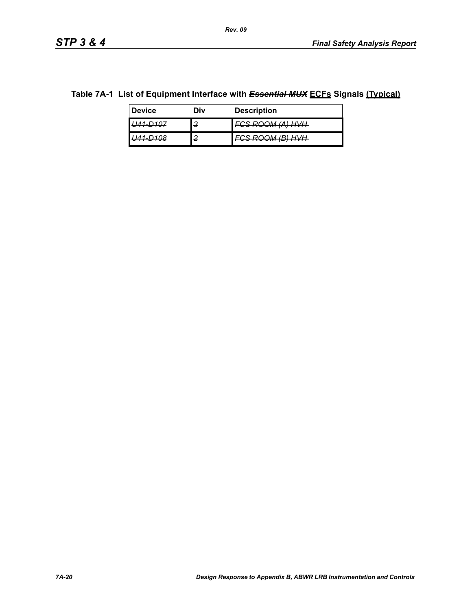## **Table 7A-1 List of Equipment Interface with** *Essential MUX* **ECFs Signals (Typical)**

| <b>Device</b>          | Div    | <b>Description</b>                                     |
|------------------------|--------|--------------------------------------------------------|
| <del>- 70 r</del>      | З      | 79 DAAM (A) HVH<br><del>vonovmmmmm</del>               |
| 100<br><del>— 00</del> | ົ<br>z | 79 <i>DAAM (R) HVH</i><br><del>,,,,,,,,,,,,,,,,,</del> |